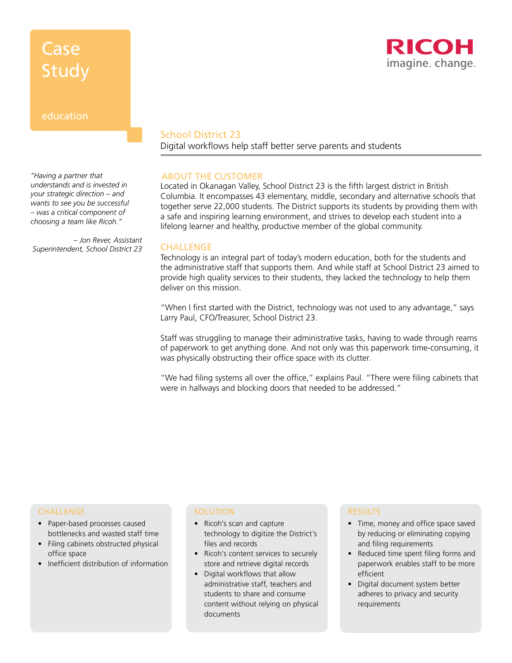# Case **Study**



### education

*"Having a partner that understands and is invested in your strategic direction – and wants to see you be successful – was a critical component of choosing a team like Ricoh."*

*– Jon Rever, Assistant Superintendent, School District 23*

## School District 23

Digital workflows help staff better serve parents and students

### ABOUT THE CUSTOMER

Located in Okanagan Valley, School District 23 is the fifth largest district in British Columbia. It encompasses 43 elementary, middle, secondary and alternative schools that together serve 22,000 students. The District supports its students by providing them with a safe and inspiring learning environment, and strives to develop each student into a lifelong learner and healthy, productive member of the global community.

#### **CHALLENGE**

Technology is an integral part of today's modern education, both for the students and the administrative staff that supports them. And while staff at School District 23 aimed to provide high quality services to their students, they lacked the technology to help them deliver on this mission.

"When I first started with the District, technology was not used to any advantage," says Larry Paul, CFO/Treasurer, School District 23.

Staff was struggling to manage their administrative tasks, having to wade through reams of paperwork to get anything done. And not only was this paperwork time-consuming, it was physically obstructing their office space with its clutter.

"We had filing systems all over the office," explains Paul. "There were filing cabinets that were in hallways and blocking doors that needed to be addressed."

#### CHALLENGE

- Paper-based processes caused bottlenecks and wasted staff time
- Filing cabinets obstructed physical office space
- Inefficient distribution of information

#### **SOLUTION**

- Ricoh's scan and capture technology to digitize the District's files and records
- Ricoh's content services to securely store and retrieve digital records
- Digital workflows that allow administrative staff, teachers and students to share and consume content without relying on physical documents

#### RESULTS

- Time, money and office space saved by reducing or eliminating copying and filing requirements
- Reduced time spent filing forms and paperwork enables staff to be more efficient
- Digital document system better adheres to privacy and security requirements